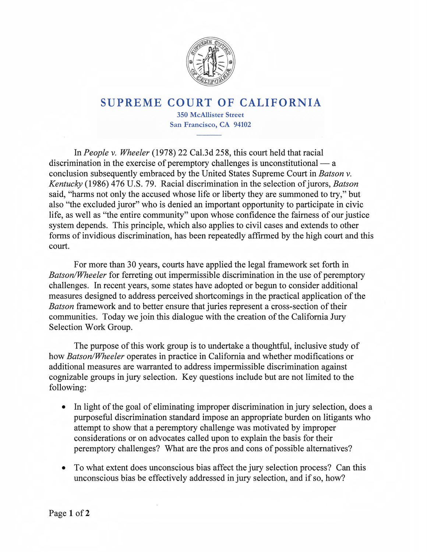

## **SUPREME COURT OF CALIFORNIA**

**350 McAllister Street San Francisco, CA 94102** 

In *People v. Wheeler* (1978) 22 Cal.3d 258, this court held that racial discrimination in the exercise of peremptory challenges is unconstitutional  $-$  a conclusion subsequently embraced by the United States Supreme Court in *Batson v. Kentucky* (1986) 476 U.S. 79. Racial discrimination in the selection of jurors, *Batson*  said, "harms not only the accused whose life or liberty they are summoned to try," but also "the excluded juror" who is denied an important opportunity to participate in civic life, as well as "the entire community" upon whose confidence the fairness of our justice system depends. This principle, which also applies to civil cases and extends to other forms of invidious discrimination, has been repeatedly affirmed by the high court and this court.

For more than 30 years, courts have applied the legal framework set forth in *Batson/Wheeler* for ferreting out impermissible discrimination in the use of peremptory challenges. In recent years, some states have adopted or begun to consider additional measures designed to address perceived shortcomings in the practical application of the *Batson* framework and to better ensure that juries represent a cross-section of their communities. Today we join this dialogue with the creation of the California Jury Selection Work Group.

The purpose of this work group is to undertake a thoughtful, inclusive study of how *Batson/Wheeler* operates in practice in California and whether modifications or additional measures are warranted to address impermissible discrimination against cognizable groups in jury selection. Key questions include but are not limited to the following:

- In light of the goal of eliminating improper discrimination in jury selection, does a purposeful discrimination standard impose an appropriate burden on litigants who attempt to show that a peremptory challenge was motivated by improper considerations or on advocates called upon to explain the basis for their peremptory challenges? What are the pros and cons of possible alternatives?
- To what extent does unconscious bias affect the jury selection process? Can this unconscious bias be effectively addressed in jury selection, and if so, how?